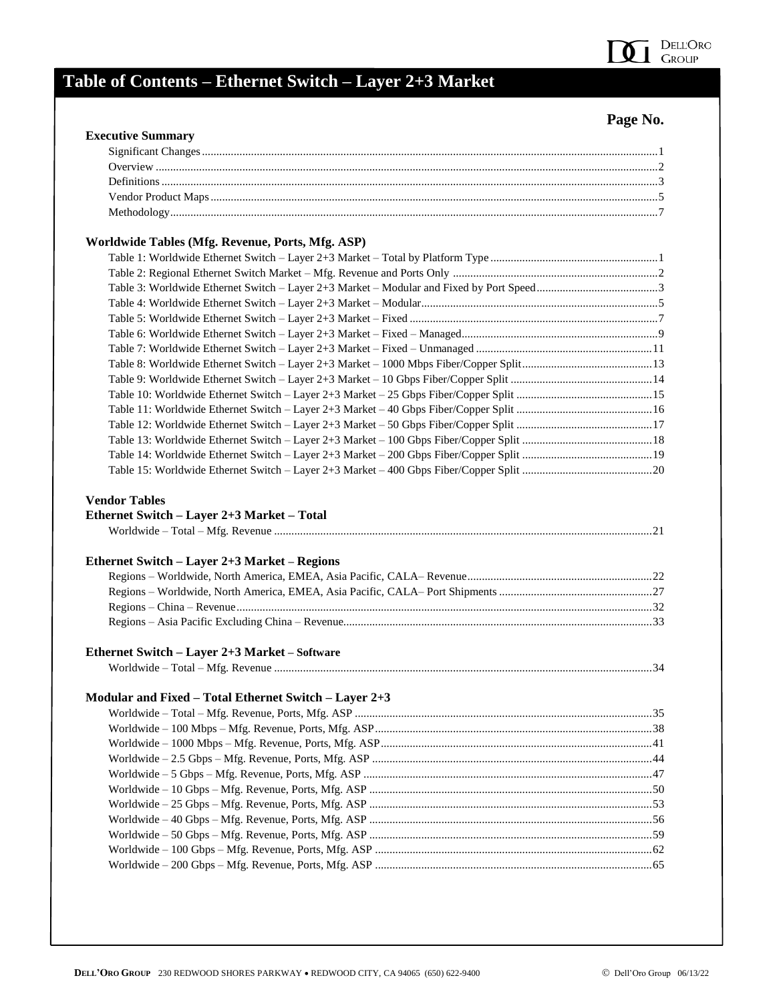

# **Table of Contents – Ethernet Switch – Layer 2+3 Market**

#### **Page No.**

| <b>Executive Summary</b>                                                                                                                                                                                                     |  |
|------------------------------------------------------------------------------------------------------------------------------------------------------------------------------------------------------------------------------|--|
|                                                                                                                                                                                                                              |  |
|                                                                                                                                                                                                                              |  |
|                                                                                                                                                                                                                              |  |
|                                                                                                                                                                                                                              |  |
|                                                                                                                                                                                                                              |  |
| Worldwide Tables (Mfg. Revenue, Ports, Mfg. ASP)                                                                                                                                                                             |  |
|                                                                                                                                                                                                                              |  |
|                                                                                                                                                                                                                              |  |
|                                                                                                                                                                                                                              |  |
|                                                                                                                                                                                                                              |  |
|                                                                                                                                                                                                                              |  |
|                                                                                                                                                                                                                              |  |
|                                                                                                                                                                                                                              |  |
|                                                                                                                                                                                                                              |  |
|                                                                                                                                                                                                                              |  |
|                                                                                                                                                                                                                              |  |
|                                                                                                                                                                                                                              |  |
|                                                                                                                                                                                                                              |  |
|                                                                                                                                                                                                                              |  |
|                                                                                                                                                                                                                              |  |
|                                                                                                                                                                                                                              |  |
|                                                                                                                                                                                                                              |  |
|                                                                                                                                                                                                                              |  |
|                                                                                                                                                                                                                              |  |
|                                                                                                                                                                                                                              |  |
|                                                                                                                                                                                                                              |  |
|                                                                                                                                                                                                                              |  |
|                                                                                                                                                                                                                              |  |
|                                                                                                                                                                                                                              |  |
|                                                                                                                                                                                                                              |  |
|                                                                                                                                                                                                                              |  |
|                                                                                                                                                                                                                              |  |
|                                                                                                                                                                                                                              |  |
|                                                                                                                                                                                                                              |  |
|                                                                                                                                                                                                                              |  |
|                                                                                                                                                                                                                              |  |
|                                                                                                                                                                                                                              |  |
|                                                                                                                                                                                                                              |  |
|                                                                                                                                                                                                                              |  |
|                                                                                                                                                                                                                              |  |
| <b>Vendor Tables</b><br>Ethernet Switch - Layer 2+3 Market - Total<br>Ethernet Switch - Layer 2+3 Market - Regions<br>Ethernet Switch - Layer 2+3 Market - Software<br>Modular and Fixed – Total Ethernet Switch – Layer 2+3 |  |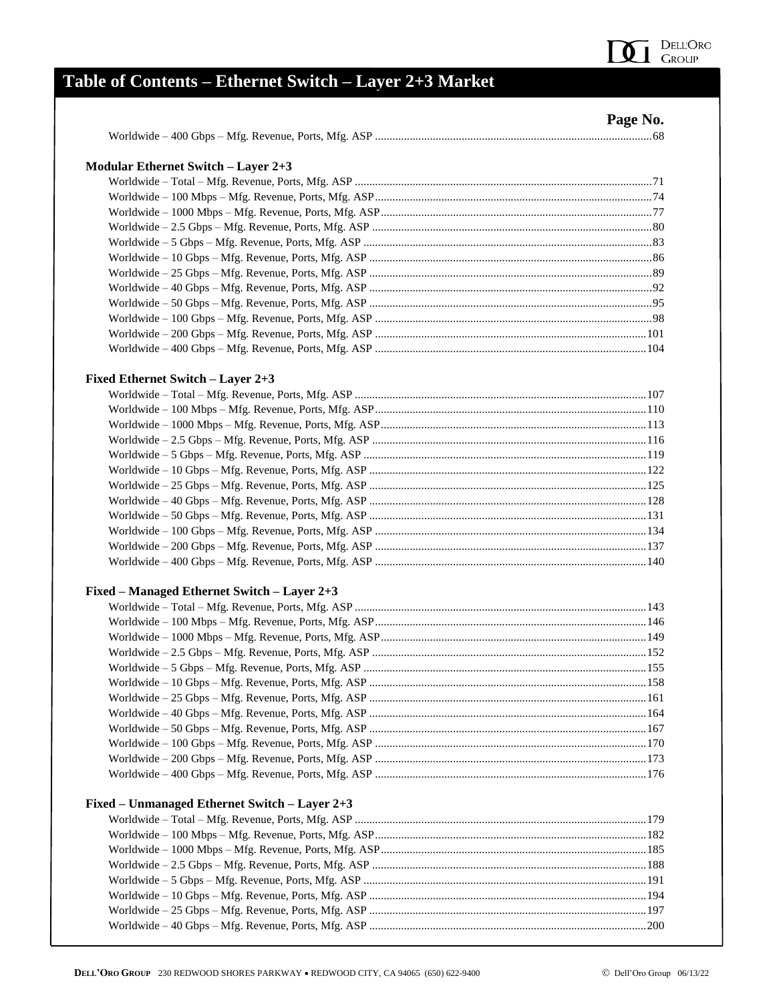

## Table of Contents - Ethernet Switch - Layer 2+3 Market

|                                               | Page No. |
|-----------------------------------------------|----------|
|                                               |          |
| <b>Modular Ethernet Switch - Layer 2+3</b>    |          |
|                                               |          |
|                                               |          |
|                                               |          |
|                                               |          |
|                                               |          |
|                                               |          |
|                                               |          |
|                                               |          |
|                                               |          |
|                                               |          |
|                                               |          |
|                                               |          |
| Fixed Ethernet Switch - Layer 2+3             |          |
|                                               |          |
|                                               |          |
|                                               |          |
|                                               |          |
|                                               |          |
|                                               |          |
|                                               |          |
|                                               |          |
|                                               |          |
|                                               |          |
|                                               |          |
|                                               |          |
| Fixed – Managed Ethernet Switch – Layer 2+3   |          |
|                                               |          |
|                                               |          |
|                                               |          |
|                                               |          |
|                                               |          |
|                                               |          |
|                                               |          |
|                                               |          |
|                                               |          |
|                                               |          |
|                                               |          |
|                                               |          |
| Fixed – Unmanaged Ethernet Switch – Layer 2+3 |          |
|                                               |          |
|                                               |          |
|                                               |          |
|                                               |          |
|                                               |          |
|                                               |          |
|                                               |          |
|                                               |          |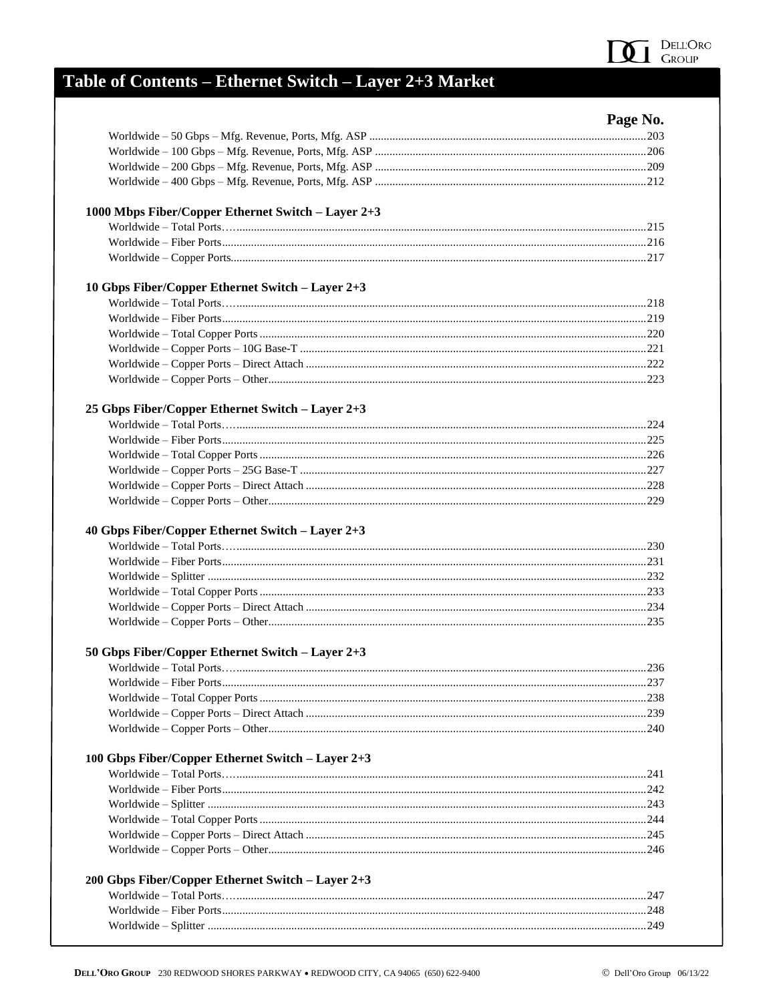

## Table of Contents - Ethernet Switch - Layer 2+3 Market

|                                                    | Page No. |
|----------------------------------------------------|----------|
|                                                    |          |
|                                                    |          |
|                                                    |          |
|                                                    |          |
| 1000 Mbps Fiber/Copper Ethernet Switch - Layer 2+3 |          |
|                                                    |          |
|                                                    |          |
|                                                    |          |
| 10 Gbps Fiber/Copper Ethernet Switch - Layer 2+3   |          |
|                                                    |          |
|                                                    |          |
|                                                    |          |
|                                                    |          |
|                                                    |          |
|                                                    |          |
| 25 Gbps Fiber/Copper Ethernet Switch - Layer 2+3   |          |
|                                                    |          |
|                                                    |          |
|                                                    |          |
|                                                    |          |
|                                                    |          |
|                                                    |          |
|                                                    |          |
|                                                    |          |
|                                                    |          |
|                                                    |          |
|                                                    |          |
| 50 Gbps Fiber/Copper Ethernet Switch - Layer 2+3   |          |
|                                                    |          |
|                                                    |          |
|                                                    |          |
|                                                    |          |
|                                                    |          |
| 100 Gbps Fiber/Copper Ethernet Switch - Layer 2+3  |          |
|                                                    |          |
|                                                    |          |
|                                                    |          |
|                                                    |          |
|                                                    |          |
|                                                    |          |
| 200 Gbps Fiber/Copper Ethernet Switch - Layer 2+3  |          |
|                                                    |          |
|                                                    |          |
|                                                    |          |